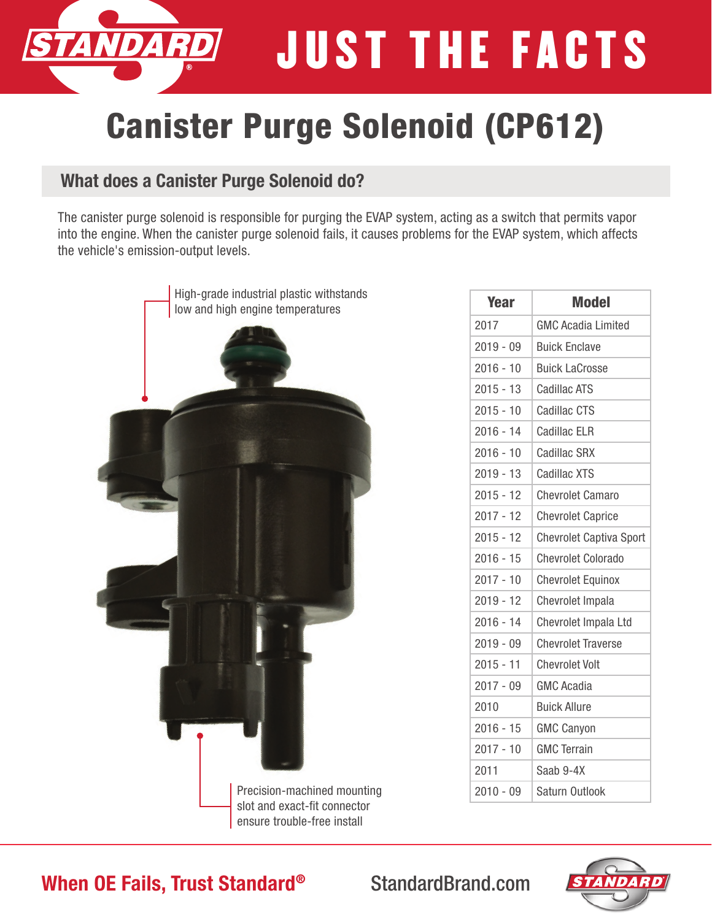JUST THE FACTS

# Canister Purge Solenoid (CP612)

### What does a Canister Purge Solenoid do?

The canister purge solenoid is responsible for purging the EVAP system, acting as a switch that permits vapor into the engine. When the canister purge solenoid fails, it causes problems for the EVAP system, which affects the vehicle's emission-output levels.



| <b>Year</b> | <b>Model</b>                   |
|-------------|--------------------------------|
| 2017        | <b>GMC Acadia Limited</b>      |
| $2019 - 09$ | <b>Buick Enclave</b>           |
| $2016 - 10$ | <b>Buick LaCrosse</b>          |
| $2015 - 13$ | <b>Cadillac ATS</b>            |
| $2015 - 10$ | <b>Cadillac CTS</b>            |
| $2016 - 14$ | <b>Cadillac ELR</b>            |
| $2016 - 10$ | <b>Cadillac SRX</b>            |
| $2019 - 13$ | <b>Cadillac XTS</b>            |
| $2015 - 12$ | <b>Chevrolet Camaro</b>        |
| $2017 - 12$ | <b>Chevrolet Caprice</b>       |
| $2015 - 12$ | <b>Chevrolet Captiva Sport</b> |
| $2016 - 15$ | <b>Chevrolet Colorado</b>      |
| $2017 - 10$ | <b>Chevrolet Equinox</b>       |
| $2019 - 12$ | Chevrolet Impala               |
| $2016 - 14$ | Chevrolet Impala Ltd           |
| $2019 - 09$ | <b>Chevrolet Traverse</b>      |
| $2015 - 11$ | <b>Chevrolet Volt</b>          |
| $2017 - 09$ | <b>GMC Acadia</b>              |
| 2010        | <b>Buick Allure</b>            |
| $2016 - 15$ | <b>GMC Canyon</b>              |
| $2017 - 10$ | <b>GMC Terrain</b>             |
| 2011        | Saab 9-4X                      |
| $2010 - 09$ | Saturn Outlook                 |



### When OE Fails, Trust Standard® StandardBrand.com